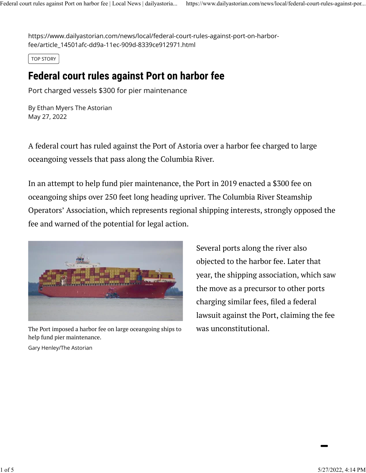https://www.dailyastorian.com/news/local/federal-court-rules-against-port-on-harborfee/article\_14501afc-dd9a-11ec-909d-8339ce912971.html

TOP STORY

## **Federal court rules against Port on harbor fee**

Port charged vessels \$300 for pier maintenance

[By Ethan Myers The Astorian](https://www.dailyastorian.com/users/profile/emyers) May 27, 2022

A federal court has ruled against the Port of Astoria over a harbor fee charged to large oceangoing vessels that pass along the Columbia River.

In an attempt to help fund pier maintenance, the Port in 2019 enacted a \$300 fee on oceangoing ships over 250 feet long heading upriver. The Columbia River Steamship Operators' Association, which represents regional shipping interests, strongly opposed the fee and warned of the potential for legal action.



The Port imposed a harbor fee on large oceangoing ships to was unconstitutional. help fund pier maintenance.

Several ports along the river also objected to the harbor fee. Later that year, the shipping association, which saw the move as a precursor to other ports charging similar fees, filed a federal lawsuit against the Port, claiming the fee

Gary Henley/The Astorian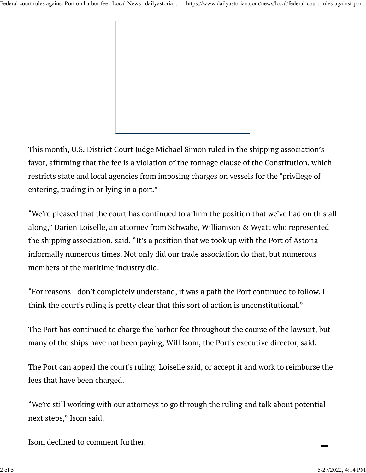This month, U.S. District Court Judge Michael Simon ruled in the shipping association's favor, affirming that the fee is a violation of the tonnage clause of the Constitution, which restricts state and local agencies from imposing charges on vessels for the "privilege of entering, trading in or lying in a port."

"We're pleased that the court has continued to affirm the position that we've had on this all along," Darien Loiselle, an attorney from Schwabe, Williamson & Wyatt who represented the shipping association, said. "It's a position that we took up with the Port of Astoria informally numerous times. Not only did our trade association do that, but numerous members of the maritime industry did.

"For reasons I don't completely understand, it was a path the Port continued to follow. I think the court's ruling is pretty clear that this sort of action is unconstitutional."

The Port has continued to charge the harbor fee throughout the course of the lawsuit, but many of the ships have not been paying, Will Isom, the Port's executive director, said.

The Port can appeal the court's ruling, Loiselle said, or accept it and work to reimburse the fees that have been charged.

"We're still working with our attorneys to go through the ruling and talk about potential next steps," Isom said.

Isom declined to comment further.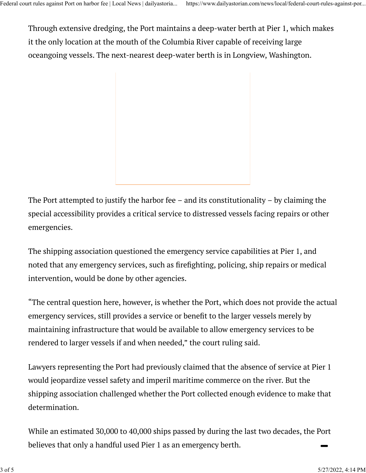Through extensive dredging, the Port maintains a deep-water berth at Pier 1, which makes it the only location at the mouth of the Columbia River capable of receiving large oceangoing vessels. The next-nearest deep-water berth is in Longview, Washington.

The Port attempted to justify the harbor fee – and its constitutionality – by claiming the special accessibility provides a critical service to distressed vessels facing repairs or other emergencies.

The shipping association questioned the emergency service capabilities at Pier 1, and noted that any emergency services, such as firefighting, policing, ship repairs or medical intervention, would be done by other agencies.

"The central question here, however, is whether the Port, which does not provide the actual emergency services, still provides a service or benefit to the larger vessels merely by maintaining infrastructure that would be available to allow emergency services to be rendered to larger vessels if and when needed," the court ruling said.

Lawyers representing the Port had previously claimed that the absence of service at Pier 1 would jeopardize vessel safety and imperil maritime commerce on the river. But the shipping association challenged whether the Port collected enough evidence to make that determination.

While an estimated 30,000 to 40,000 ships passed by during the last two decades, the Port believes that only a handful used Pier 1 as an emergency berth.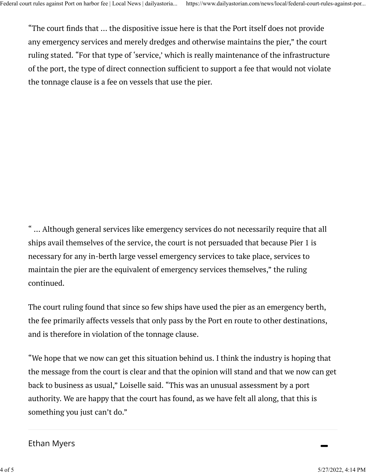"The court finds that ... the dispositive issue here is that the Port itself does not provide any emergency services and merely dredges and otherwise maintains the pier," the court ruling stated. "For that type of 'service,' which is really maintenance of the infrastructure of the port, the type of direct connection suf�cient to support a fee that would not violate the tonnage clause is a fee on vessels that use the pier.

" … Although general services like emergency services do not necessarily require that all ships avail themselves of the service, the court is not persuaded that because Pier 1 is necessary for any in-berth large vessel emergency services to take place, services to maintain the pier are the equivalent of emergency services themselves," the ruling continued.

The court ruling found that since so few ships have used the pier as an emergency berth, the fee primarily affects vessels that only pass by the Port en route to other destinations, and is therefore in violation of the tonnage clause.

"We hope that we now can get this situation behind us. I think the industry is hoping that the message from the court is clear and that the opinion will stand and that we now can get back to business as usual," Loiselle said. "This was an unusual assessment by a port authority. We are happy that the court has found, as we have felt all along, that this is something you just can't do."

## [Ethan Myers](https://www.dailyastorian.com/users/profile/emyers)